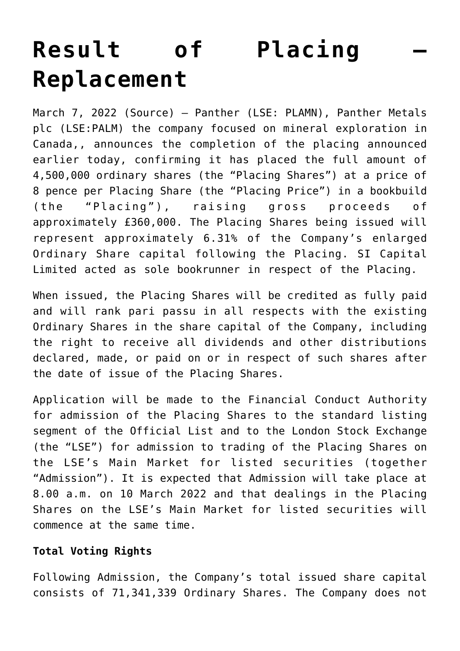# **[Result of Placing –](https://investorintel.com/markets/technology-metals/technology-metals-news/result-of-placing-replacement/) [Replacement](https://investorintel.com/markets/technology-metals/technology-metals-news/result-of-placing-replacement/)**

March 7, 2022 [\(Source](https://www.londonstockexchange.com/news-article/PALM/result-of-placing-replacement/15356946)) — Panther (LSE: PLAMN), Panther Metals plc (LSE:PALM) the company focused on mineral exploration in Canada,, announces the completion of the placing announced earlier today, confirming it has placed the full amount of 4,500,000 ordinary shares (the "Placing Shares") at a price of 8 pence per Placing Share (the "Placing Price") in a bookbuild (the "Placing"), raising gross proceeds of approximately £360,000. The Placing Shares being issued will represent approximately 6.31% of the Company's enlarged Ordinary Share capital following the Placing. SI Capital Limited acted as sole bookrunner in respect of the Placing.

When issued, the Placing Shares will be credited as fully paid and will rank pari passu in all respects with the existing Ordinary Shares in the share capital of the Company, including the right to receive all dividends and other distributions declared, made, or paid on or in respect of such shares after the date of issue of the Placing Shares.

Application will be made to the Financial Conduct Authority for admission of the Placing Shares to the standard listing segment of the Official List and to the London Stock Exchange (the "LSE") for admission to trading of the Placing Shares on the LSE's Main Market for listed securities (together "Admission"). It is expected that Admission will take place at 8.00 a.m. on 10 March 2022 and that dealings in the Placing Shares on the LSE's Main Market for listed securities will commence at the same time.

## **Total Voting Rights**

Following Admission, the Company's total issued share capital consists of 71,341,339 Ordinary Shares. The Company does not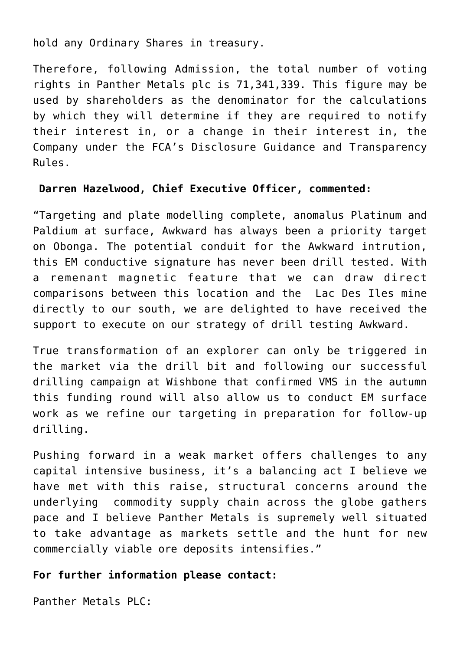hold any Ordinary Shares in treasury.

Therefore, following Admission, the total number of voting rights in Panther Metals plc is 71,341,339. This figure may be used by shareholders as the denominator for the calculations by which they will determine if they are required to notify their interest in, or a change in their interest in, the Company under the FCA's Disclosure Guidance and Transparency Rules.

#### **Darren Hazelwood, Chief Executive Officer, commented:**

"Targeting and plate modelling complete, anomalus Platinum and Paldium at surface, Awkward has always been a priority target on Obonga. The potential conduit for the Awkward intrution, this EM conductive signature has never been drill tested. With a remenant magnetic feature that we can draw direct comparisons between this location and the Lac Des Iles mine directly to our south, we are delighted to have received the support to execute on our strategy of drill testing Awkward.

True transformation of an explorer can only be triggered in the market via the drill bit and following our successful drilling campaign at Wishbone that confirmed VMS in the autumn this funding round will also allow us to conduct EM surface work as we refine our targeting in preparation for follow-up drilling.

Pushing forward in a weak market offers challenges to any capital intensive business, it's a balancing act I believe we have met with this raise, structural concerns around the underlying commodity supply chain across the globe gathers pace and I believe Panther Metals is supremely well situated to take advantage as markets settle and the hunt for new commercially viable ore deposits intensifies."

## **For further information please contact:**

Panther Metals PLC: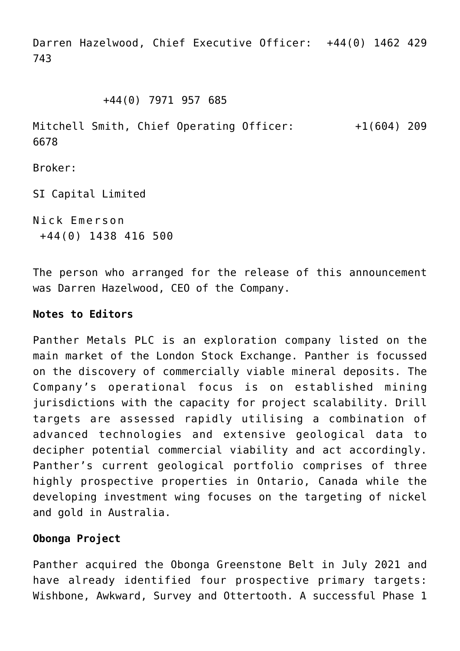Darren Hazelwood, Chief Executive Officer: +44(0) 1462 429 743

#### +44(0) 7971 957 685

Mitchell Smith, Chief Operating Officer: +1(604) 209 6678

Broker:

SI Capital Limited

Nick Emerson +44(0) 1438 416 500

The person who arranged for the release of this announcement was Darren Hazelwood, CEO of the Company.

#### **Notes to Editors**

Panther Metals PLC is an exploration company listed on the main market of the London Stock Exchange. Panther is focussed on the discovery of commercially viable mineral deposits. The Company's operational focus is on established mining jurisdictions with the capacity for project scalability. Drill targets are assessed rapidly utilising a combination of advanced technologies and extensive geological data to decipher potential commercial viability and act accordingly. Panther's current geological portfolio comprises of three highly prospective properties in Ontario, Canada while the developing investment wing focuses on the targeting of nickel and gold in Australia.

## **Obonga Project**

Panther acquired the Obonga Greenstone Belt in July 2021 and have already identified four prospective primary targets: Wishbone, Awkward, Survey and Ottertooth. A successful Phase 1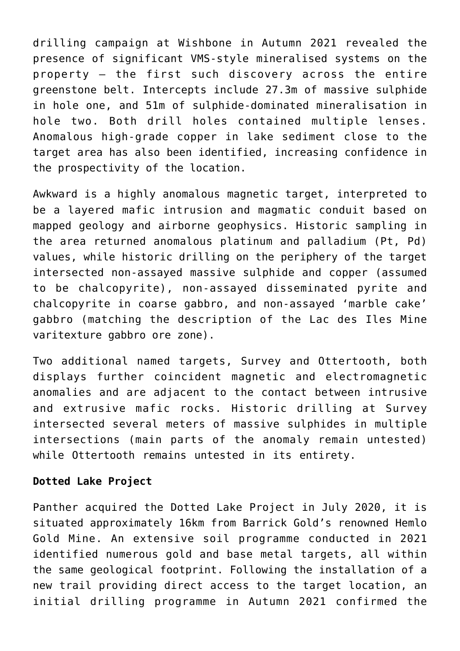drilling campaign at Wishbone in Autumn 2021 revealed the presence of significant VMS-style mineralised systems on the property – the first such discovery across the entire greenstone belt. Intercepts include 27.3m of massive sulphide in hole one, and 51m of sulphide-dominated mineralisation in hole two. Both drill holes contained multiple lenses. Anomalous high-grade copper in lake sediment close to the target area has also been identified, increasing confidence in the prospectivity of the location.

Awkward is a highly anomalous magnetic target, interpreted to be a layered mafic intrusion and magmatic conduit based on mapped geology and airborne geophysics. Historic sampling in the area returned anomalous platinum and palladium (Pt, Pd) values, while historic drilling on the periphery of the target intersected non-assayed massive sulphide and copper (assumed to be chalcopyrite), non-assayed disseminated pyrite and chalcopyrite in coarse gabbro, and non-assayed 'marble cake' gabbro (matching the description of the Lac des Iles Mine varitexture gabbro ore zone).

Two additional named targets, Survey and Ottertooth, both displays further coincident magnetic and electromagnetic anomalies and are adjacent to the contact between intrusive and extrusive mafic rocks. Historic drilling at Survey intersected several meters of massive sulphides in multiple intersections (main parts of the anomaly remain untested) while Ottertooth remains untested in its entirety.

#### **Dotted Lake Project**

Panther acquired the Dotted Lake Project in July 2020, it is situated approximately 16km from Barrick Gold's renowned Hemlo Gold Mine. An extensive soil programme conducted in 2021 identified numerous gold and base metal targets, all within the same geological footprint. Following the installation of a new trail providing direct access to the target location, an initial drilling programme in Autumn 2021 confirmed the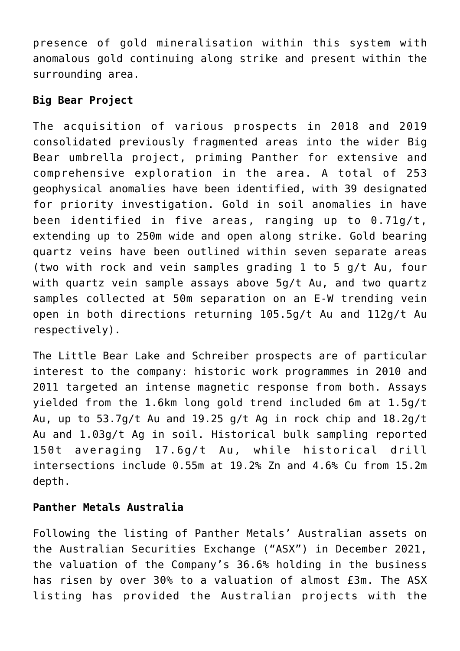presence of gold mineralisation within this system with anomalous gold continuing along strike and present within the surrounding area.

# **Big Bear Project**

The acquisition of various prospects in 2018 and 2019 consolidated previously fragmented areas into the wider Big Bear umbrella project, priming Panther for extensive and comprehensive exploration in the area. A total of 253 geophysical anomalies have been identified, with 39 designated for priority investigation. Gold in soil anomalies in have been identified in five areas, ranging up to 0.71g/t, extending up to 250m wide and open along strike. Gold bearing quartz veins have been outlined within seven separate areas (two with rock and vein samples grading 1 to 5 g/t Au, four with quartz vein sample assays above 5g/t Au, and two quartz samples collected at 50m separation on an E-W trending vein open in both directions returning 105.5g/t Au and 112g/t Au respectively).

The Little Bear Lake and Schreiber prospects are of particular interest to the company: historic work programmes in 2010 and 2011 targeted an intense magnetic response from both. Assays yielded from the 1.6km long gold trend included 6m at 1.5g/t Au, up to 53.7g/t Au and 19.25 g/t Ag in rock chip and 18.2g/t Au and 1.03g/t Ag in soil. Historical bulk sampling reported 150t averaging 17.6g/t Au, while historical drill intersections include 0.55m at 19.2% Zn and 4.6% Cu from 15.2m depth.

## **Panther Metals Australia**

Following the listing of Panther Metals' Australian assets on the Australian Securities Exchange ("ASX") in December 2021, the valuation of the Company's 36.6% holding in the business has risen by over 30% to a valuation of almost £3m. The ASX listing has provided the Australian projects with the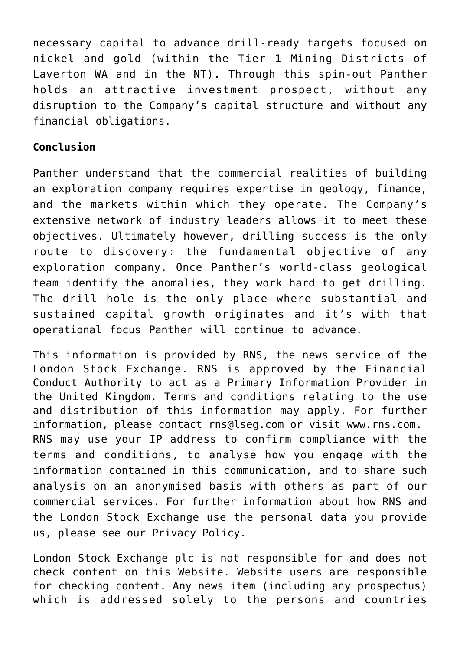necessary capital to advance drill-ready targets focused on nickel and gold (within the Tier 1 Mining Districts of Laverton WA and in the NT). Through this spin-out Panther holds an attractive investment prospect, without any disruption to the Company's capital structure and without any financial obligations.

## **Conclusion**

Panther understand that the commercial realities of building an exploration company requires expertise in geology, finance, and the markets within which they operate. The Company's extensive network of industry leaders allows it to meet these objectives. Ultimately however, drilling success is the only route to discovery: the fundamental objective of any exploration company. Once Panther's world-class geological team identify the anomalies, they work hard to get drilling. The drill hole is the only place where substantial and sustained capital growth originates and it's with that operational focus Panther will continue to advance.

This information is provided by RNS, the news service of the London Stock Exchange. RNS is approved by the Financial Conduct Authority to act as a Primary Information Provider in the United Kingdom. Terms and conditions relating to the use and distribution of this information may apply. For further information, please contact [rns@lseg.com](mailto:rns@lseg.com) or visit [www.rns.com](http://www.rns.com/). RNS may use your IP address to confirm compliance with the terms and conditions, to analyse how you engage with the information contained in this communication, and to share such analysis on an anonymised basis with others as part of our commercial services. For further information about how RNS and the London Stock Exchange use the personal data you provide us, please see our [Privacy Policy.](https://www.lseg.com/privacy-and-cookie-policy)

London Stock Exchange plc is not responsible for and does not check content on this Website. Website users are responsible for checking content. Any news item (including any prospectus) which is addressed solely to the persons and countries